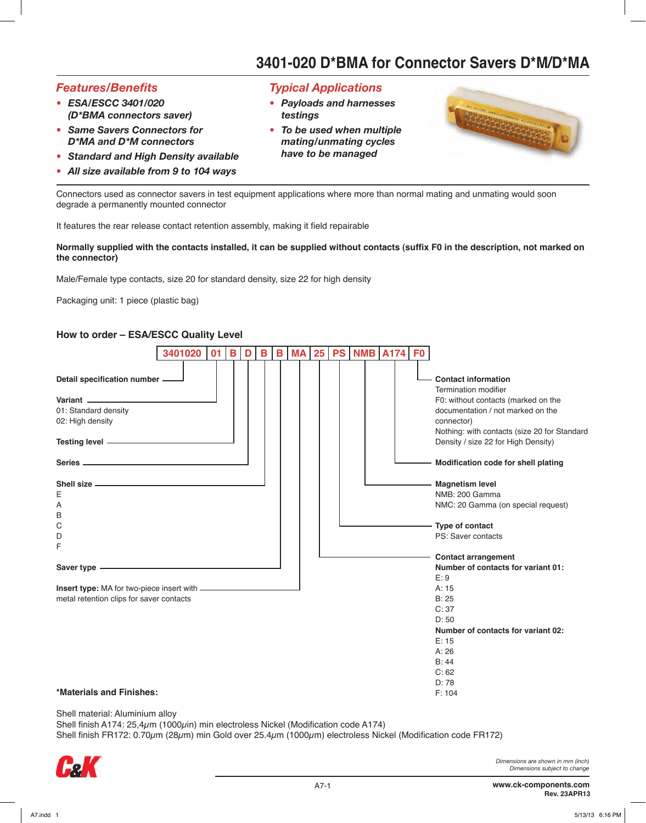# **3401-020 D\*BMA for Connector Savers D\*M/D\*MA**

# *Features/Benefits*

- *• ESA/ESCC 3401/020 (D\*BMA connectors saver)*
- *• Same Savers Connectors for D\*MA and D\*M connectors*
- *• Standard and High Density available*
- *• All size available from 9 to 104 ways*

# *Typical Applications*

- *• Payloads and harnesses testings*
- *• To be used when multiple mating/unmating cycles have to be managed*



Connectors used as connector savers in test equipment applications where more than normal mating and unmating would soon degrade a permanently mounted connector

It features the rear release contact retention assembly, making it field repairable

### **Normally supplied with the contacts installed, it can be supplied without contacts (suffix F0 in the description, not marked on the connector)**

Male/Female type contacts, size 20 for standard density, size 22 for high density

Packaging unit: 1 piece (plastic bag)

## **How to order – ESA/ESCC Quality Level**



Shell material: Aluminium alloy

Shell finish A174: 25,4µm (1000µin) min electroless Nickel (Modification code A174)

Shell finish FR172: 0.70µm (28µm) min Gold over 25.4µm (1000µm) electroless Nickel (Modification code FR172)

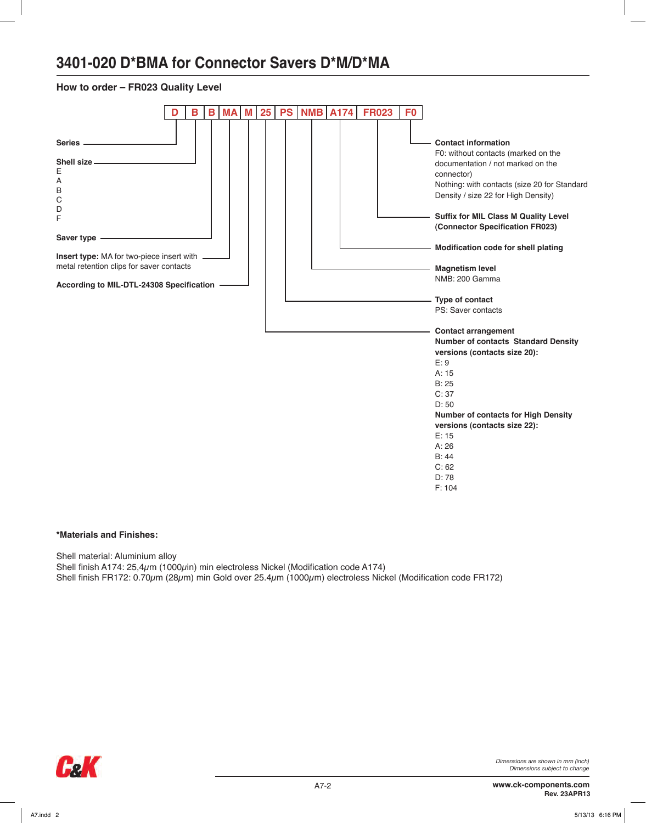## **How to order – FR023 Quality Level**



#### **\*Materials and Finishes:**

Shell material: Aluminium alloy

Shell finish A174: 25,4µm (1000µin) min electroless Nickel (Modification code A174) Shell finish FR172: 0.70µm (28µm) min Gold over 25.4µm (1000µm) electroless Nickel (Modification code FR172)

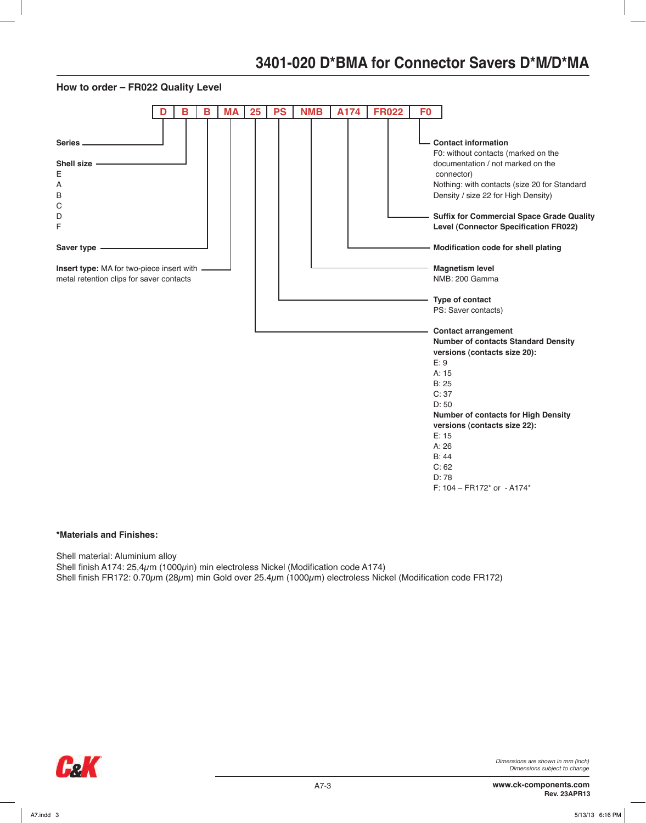## **How to order – FR022 Quality Level**



#### **\*Materials and Finishes:**

Shell material: Aluminium alloy

Shell finish A174: 25,4 $\mu$ m (1000 $\mu$ in) min electroless Nickel (Modification code A174) Shell finish FR172: 0.70µm (28µm) min Gold over 25.4µm (1000µm) electroless Nickel (Modification code FR172)

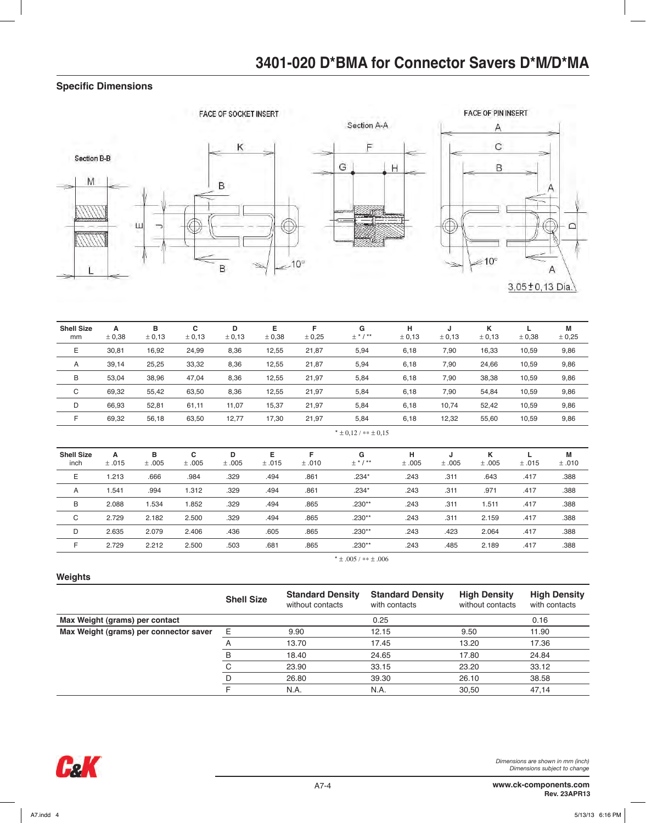# **3401-020 D\*BMA for Connector Savers D\*M/D\*MA**

## **Specific Dimensions**



| <b>Shell Size</b><br>mm   | Α<br>± 0,38 | в<br>± 0,13 | c<br>± 0,13     | D<br>± 0,13 | Е<br>± 0,38 | F<br>± 0,25 | G<br>$\pm$ * / **        | H<br>± 0,13     | J<br>± 0,13     | K<br>± 0,13 | L<br>± 0,38 | M<br>± 0,25 |
|---------------------------|-------------|-------------|-----------------|-------------|-------------|-------------|--------------------------|-----------------|-----------------|-------------|-------------|-------------|
| Е                         | 30,81       | 16,92       | 24,99           | 8,36        | 12,55       | 21,87       | 5,94                     | 6,18            | 7,90            | 16,33       | 10,59       | 9,86        |
| Α                         | 39,14       | 25,25       | 33,32           | 8,36        | 12,55       | 21,87       | 5,94                     | 6,18            | 7,90            | 24,66       | 10,59       | 9,86        |
| B                         | 53,04       | 38,96       | 47,04           | 8,36        | 12,55       | 21,97       | 5,84                     | 6,18            | 7,90            | 38,38       | 10,59       | 9,86        |
| C                         | 69,32       | 55,42       | 63,50           | 8,36        | 12,55       | 21,97       | 5,84                     | 6,18            | 7,90            | 54,84       | 10,59       | 9,86        |
| D                         | 66,93       | 52,81       | 61,11           | 11,07       | 15,37       | 21,97       | 5,84                     | 6,18            | 10,74           | 52,42       | 10,59       | 9,86        |
| F                         | 69,32       | 56,18       | 63,50           | 12,77       | 17,30       | 21,97       | 5,84                     | 6,18            | 12,32           | 55,60       | 10,59       | 9,86        |
|                           |             |             |                 |             |             |             | $*$ ± 0.12 / $**$ ± 0.15 |                 |                 |             |             |             |
| <b>Shell Size</b><br>inch | A<br>±.015  | в<br>±.005  | C<br>$\pm$ .005 | D<br>±.005  | Е<br>±.015  | F<br>±.010  | G<br>$\pm$ * / **        | н<br>$\pm$ .005 | J<br>$\pm$ .005 | ĸ<br>±.005  | ±.015       | M<br>±.010  |
| Е                         | 1.213       | .666        | .984            | .329        | .494        | .861        | $.234*$                  | .243            | .311            | .643        | .417        | .388        |
| A                         | 1.541       | .994        | 1.312           | .329        | .494        | .861        | $.234*$                  | .243            | .311            | .971        | .417        | .388        |
| B                         | 2.088       | 1.534       | 1.852           | .329        | .494        | .865        | $.230**$                 | .243            | .311            | 1.511       | .417        | .388        |
| C                         | 2.729       | 2.182       | 2.500           | .329        | .494        | .865        | $.230**$                 | .243            | .311            | 2.159       | .417        | .388        |
| D                         | 2.635       | 2.079       | 2.406           | .436        | .605        | .865        | $.230**$                 | .243            | .423            | 2.064       | .417        | .388        |
| F                         | 2.729       | 2.212       | 2.500           | .503        | .681        | .865        | $.230**$                 | .243            | .485            | 2.189       | .417        | .388        |

 $* \pm .005 / ** \pm .006$ 

### **Weights**

|                                        | <b>Shell Size</b> | <b>Standard Density</b><br>without contacts | <b>Standard Density</b><br>with contacts | <b>High Density</b><br>without contacts | <b>High Density</b><br>with contacts |
|----------------------------------------|-------------------|---------------------------------------------|------------------------------------------|-----------------------------------------|--------------------------------------|
| Max Weight (grams) per contact         |                   |                                             | 0.25                                     |                                         | 0.16                                 |
| Max Weight (grams) per connector saver | Ε                 | 9.90                                        | 12.15                                    | 9.50                                    | 11.90                                |
|                                        |                   | 13.70                                       | 17.45                                    | 13.20                                   | 17.36                                |
|                                        | В                 | 18.40                                       | 24.65                                    | 17.80                                   | 24.84                                |
|                                        | C                 | 23.90                                       | 33.15                                    | 23.20                                   | 33.12                                |
|                                        | D                 | 26.80                                       | 39.30                                    | 26.10                                   | 38.58                                |
|                                        |                   | N.A.                                        | N.A.                                     | 30.50                                   | 47.14                                |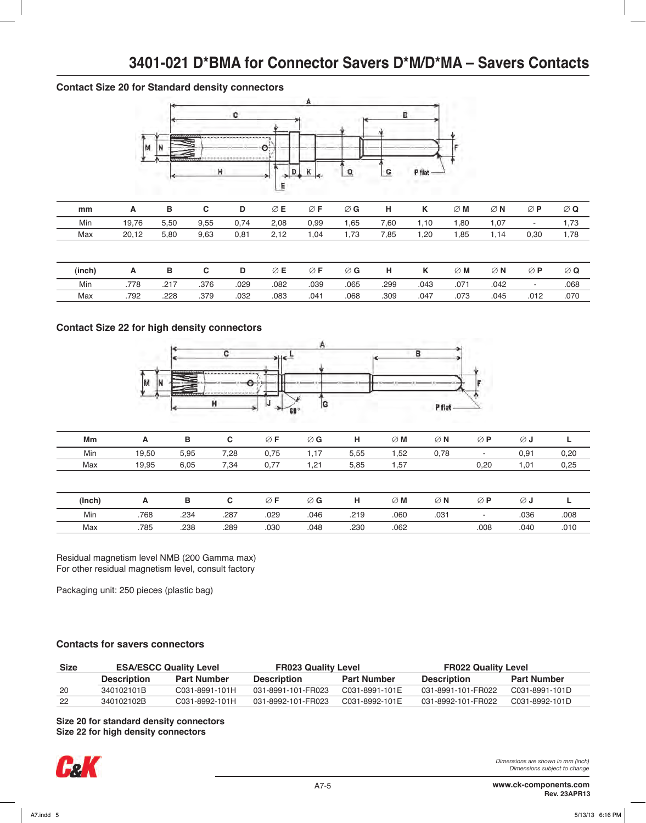# **3401-021 D\*BMA for Connector Savers D\*M/D\*MA – Savers Contacts**

## **Contact Size 20 for Standard density connectors**



| mm     | А     | в    | C    | D    | ØΕ   | $\varnothing$ F | $\varnothing$ G | н    | κ    | $\varnothing$ M | $\varnothing$ N | ∅P   | $\varnothing$ Q |
|--------|-------|------|------|------|------|-----------------|-----------------|------|------|-----------------|-----------------|------|-----------------|
| Min    | 19,76 | 5,50 | 9,55 | 0,74 | 2,08 | 0,99            | 1,65            | 7,60 | 1,10 | 1,80            | 1,07            |      | 1,73            |
| Max    | 20,12 | 5,80 | 9,63 | 0,81 | 2,12 | 1,04            | 1,73            | 7,85 | 1,20 | ,85             | 1,14            | 0,30 | 1,78            |
|        |       |      |      |      |      |                 |                 |      |      |                 |                 |      |                 |
| (inch) | A     | в    | C    | D    | ØΕ   | ØΕ              | $\varnothing$ G | н    | к    | $\varnothing$ M | $\varnothing$ N | ∅P   | $\varnothing$ Q |
| Min    | .778  | .217 | .376 | .029 | .082 | .039            | .065            | .299 | .043 | .071            | .042            |      | .068            |

Max .792 .228 .379 .032 .083 .041 .068 .309 .047 .073 .045 .012 .070

## **Contact Size 22 for high density connectors**



| Mm     | А     | в    | C    | ØF   | $\varnothing$ G | н    | $\varnothing$ M | $\varnothing$ N | $\varnothing$ P          | $\varnothing$ J |      |
|--------|-------|------|------|------|-----------------|------|-----------------|-----------------|--------------------------|-----------------|------|
| Min    | 19,50 | 5,95 | 7,28 | 0,75 | 1.17            | 5,55 | 1,52            | 0,78            | $\overline{\phantom{0}}$ | 0,91            | 0,20 |
| Max    | 19,95 | 6,05 | 7,34 | 0,77 | 1,21            | 5,85 | 1,57            |                 | 0,20                     | 1,01            | 0,25 |
|        |       |      |      |      |                 |      |                 |                 |                          |                 |      |
| (Inch) | А     | в    | C    | ØF   | $\varnothing$ G | н    | $\varnothing$ M | $\varnothing$ N | $\varnothing$ P          | $\varnothing$ J |      |
| Min    | .768  | .234 | .287 | .029 | .046            | .219 | .060            | .031            | $\overline{\phantom{0}}$ | .036            | .008 |

Max .785 .238 .289 .030 .048 .230 .062 .008 .040 .010

Residual magnetism level NMB (200 Gamma max) For other residual magnetism level, consult factory

Packaging unit: 250 pieces (plastic bag)

## **Contacts for savers connectors**

| <b>Size</b> |                                          | <b>ESA/ESCC Quality Level</b> | <b>FR023 Quality Level</b> |                    | <b>FR022 Quality Level</b> |                    |  |  |
|-------------|------------------------------------------|-------------------------------|----------------------------|--------------------|----------------------------|--------------------|--|--|
|             | <b>Description</b><br><b>Part Number</b> |                               | <b>Description</b>         | <b>Part Number</b> | <b>Description</b>         | <b>Part Number</b> |  |  |
| 20          | 340102101B                               | C031-8991-101H                | 031-8991-101-FR023         | C031-8991-101F     | 031-8991-101-FR022         | C031-8991-101D     |  |  |
| -22         | 340102102B                               | C031-8992-101H                | 031-8992-101-FR023         | C031-8992-101F     | 031-8992-101-FR022         | C031-8992-101D     |  |  |

**Size 20 for standard density connectors Size 22 for high density connectors**

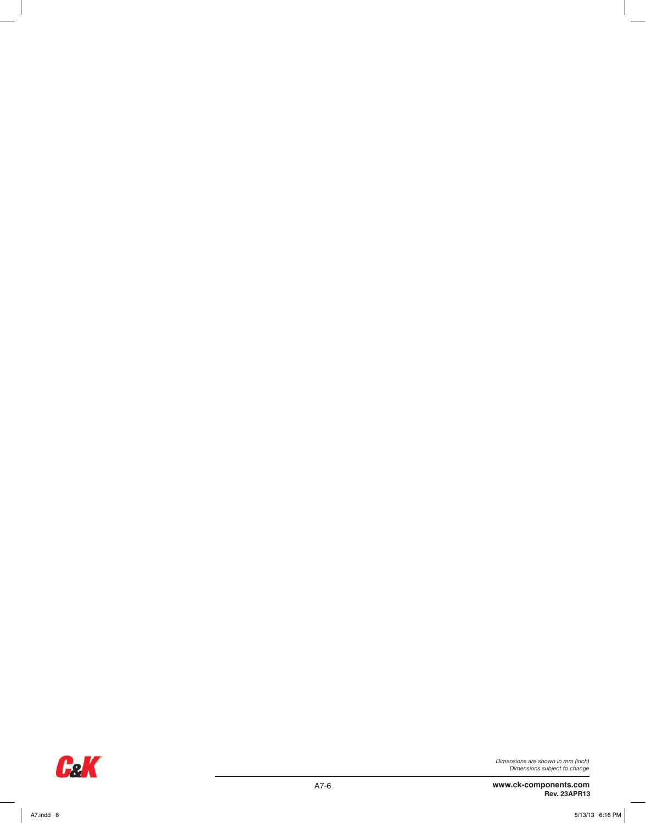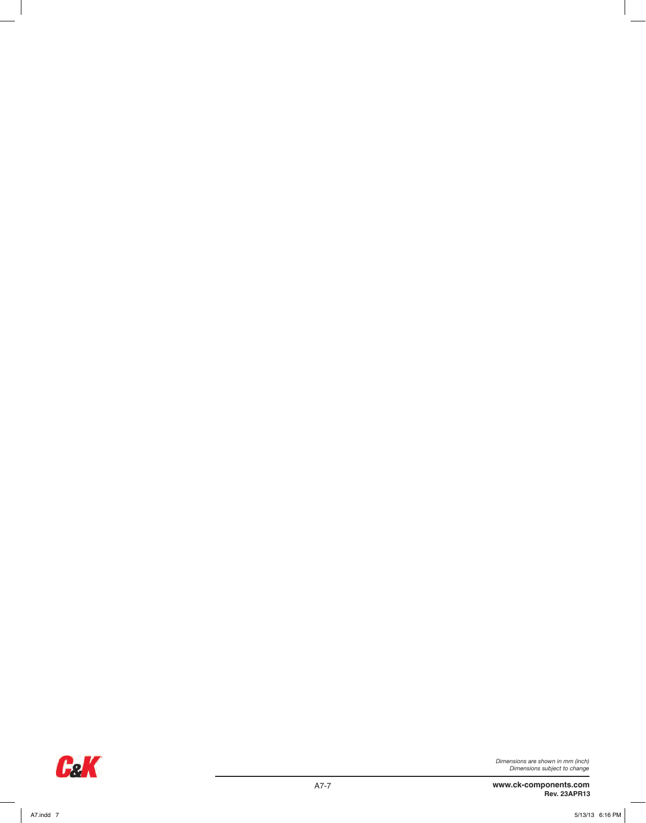